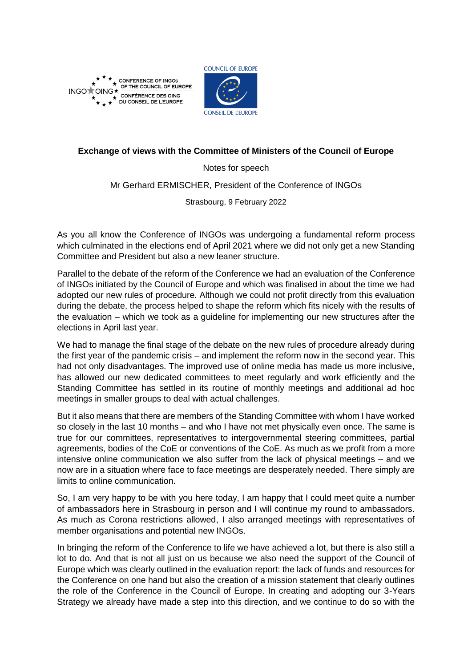

**CONFERENCE OF INGOS** OF THE COUNCIL OF EUROPE G\* INGO<sup>+</sup>OI CONFÉRENCE DES OING DU CONSEIL DE L'EUROPE



## **Exchange of views with the Committee of Ministers of the Council of Europe**

Notes for speech

Mr Gerhard ERMISCHER, President of the Conference of INGOs

Strasbourg, 9 February 2022

As you all know the Conference of INGOs was undergoing a fundamental reform process which culminated in the elections end of April 2021 where we did not only get a new Standing Committee and President but also a new leaner structure.

Parallel to the debate of the reform of the Conference we had an evaluation of the Conference of INGOs initiated by the Council of Europe and which was finalised in about the time we had adopted our new rules of procedure. Although we could not profit directly from this evaluation during the debate, the process helped to shape the reform which fits nicely with the results of the evaluation – which we took as a guideline for implementing our new structures after the elections in April last year.

We had to manage the final stage of the debate on the new rules of procedure already during the first year of the pandemic crisis – and implement the reform now in the second year. This had not only disadvantages. The improved use of online media has made us more inclusive, has allowed our new dedicated committees to meet regularly and work efficiently and the Standing Committee has settled in its routine of monthly meetings and additional ad hoc meetings in smaller groups to deal with actual challenges.

But it also means that there are members of the Standing Committee with whom I have worked so closely in the last 10 months – and who I have not met physically even once. The same is true for our committees, representatives to intergovernmental steering committees, partial agreements, bodies of the CoE or conventions of the CoE. As much as we profit from a more intensive online communication we also suffer from the lack of physical meetings – and we now are in a situation where face to face meetings are desperately needed. There simply are limits to online communication.

So, I am very happy to be with you here today, I am happy that I could meet quite a number of ambassadors here in Strasbourg in person and I will continue my round to ambassadors. As much as Corona restrictions allowed, I also arranged meetings with representatives of member organisations and potential new INGOs.

In bringing the reform of the Conference to life we have achieved a lot, but there is also still a lot to do. And that is not all just on us because we also need the support of the Council of Europe which was clearly outlined in the evaluation report: the lack of funds and resources for the Conference on one hand but also the creation of a mission statement that clearly outlines the role of the Conference in the Council of Europe. In creating and adopting our 3-Years Strategy we already have made a step into this direction, and we continue to do so with the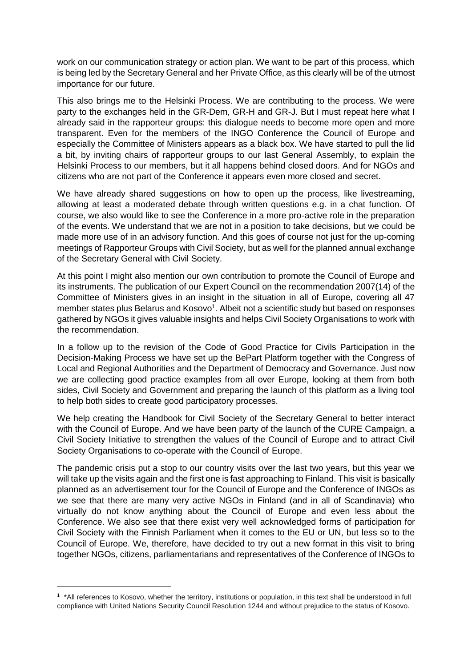work on our communication strategy or action plan. We want to be part of this process, which is being led by the Secretary General and her Private Office, as this clearly will be of the utmost importance for our future.

This also brings me to the Helsinki Process. We are contributing to the process. We were party to the exchanges held in the GR-Dem, GR-H and GR-J. But I must repeat here what I already said in the rapporteur groups: this dialogue needs to become more open and more transparent. Even for the members of the INGO Conference the Council of Europe and especially the Committee of Ministers appears as a black box. We have started to pull the lid a bit, by inviting chairs of rapporteur groups to our last General Assembly, to explain the Helsinki Process to our members, but it all happens behind closed doors. And for NGOs and citizens who are not part of the Conference it appears even more closed and secret.

We have already shared suggestions on how to open up the process, like livestreaming, allowing at least a moderated debate through written questions e.g. in a chat function. Of course, we also would like to see the Conference in a more pro-active role in the preparation of the events. We understand that we are not in a position to take decisions, but we could be made more use of in an advisory function. And this goes of course not just for the up-coming meetings of Rapporteur Groups with Civil Society, but as well for the planned annual exchange of the Secretary General with Civil Society.

At this point I might also mention our own contribution to promote the Council of Europe and its instruments. The publication of our Expert Council on the recommendation 2007(14) of the Committee of Ministers gives in an insight in the situation in all of Europe, covering all 47 member states plus Belarus and Kosovo<sup>1</sup>. Albeit not a scientific study but based on responses gathered by NGOs it gives valuable insights and helps Civil Society Organisations to work with the recommendation.

In a follow up to the revision of the Code of Good Practice for Civils Participation in the Decision-Making Process we have set up the BePart Platform together with the Congress of Local and Regional Authorities and the Department of Democracy and Governance. Just now we are collecting good practice examples from all over Europe, looking at them from both sides, Civil Society and Government and preparing the launch of this platform as a living tool to help both sides to create good participatory processes.

We help creating the Handbook for Civil Society of the Secretary General to better interact with the Council of Europe. And we have been party of the launch of the CURE Campaign, a Civil Society Initiative to strengthen the values of the Council of Europe and to attract Civil Society Organisations to co-operate with the Council of Europe.

The pandemic crisis put a stop to our country visits over the last two years, but this year we will take up the visits again and the first one is fast approaching to Finland. This visit is basically planned as an advertisement tour for the Council of Europe and the Conference of INGOs as we see that there are many very active NGOs in Finland (and in all of Scandinavia) who virtually do not know anything about the Council of Europe and even less about the Conference. We also see that there exist very well acknowledged forms of participation for Civil Society with the Finnish Parliament when it comes to the EU or UN, but less so to the Council of Europe. We, therefore, have decided to try out a new format in this visit to bring together NGOs, citizens, parliamentarians and representatives of the Conference of INGOs to

**.** 

<sup>&</sup>lt;sup>1</sup> \*All references to Kosovo, whether the territory, institutions or population, in this text shall be understood in full compliance with United Nations Security Council Resolution 1244 and without prejudice to the status of Kosovo.